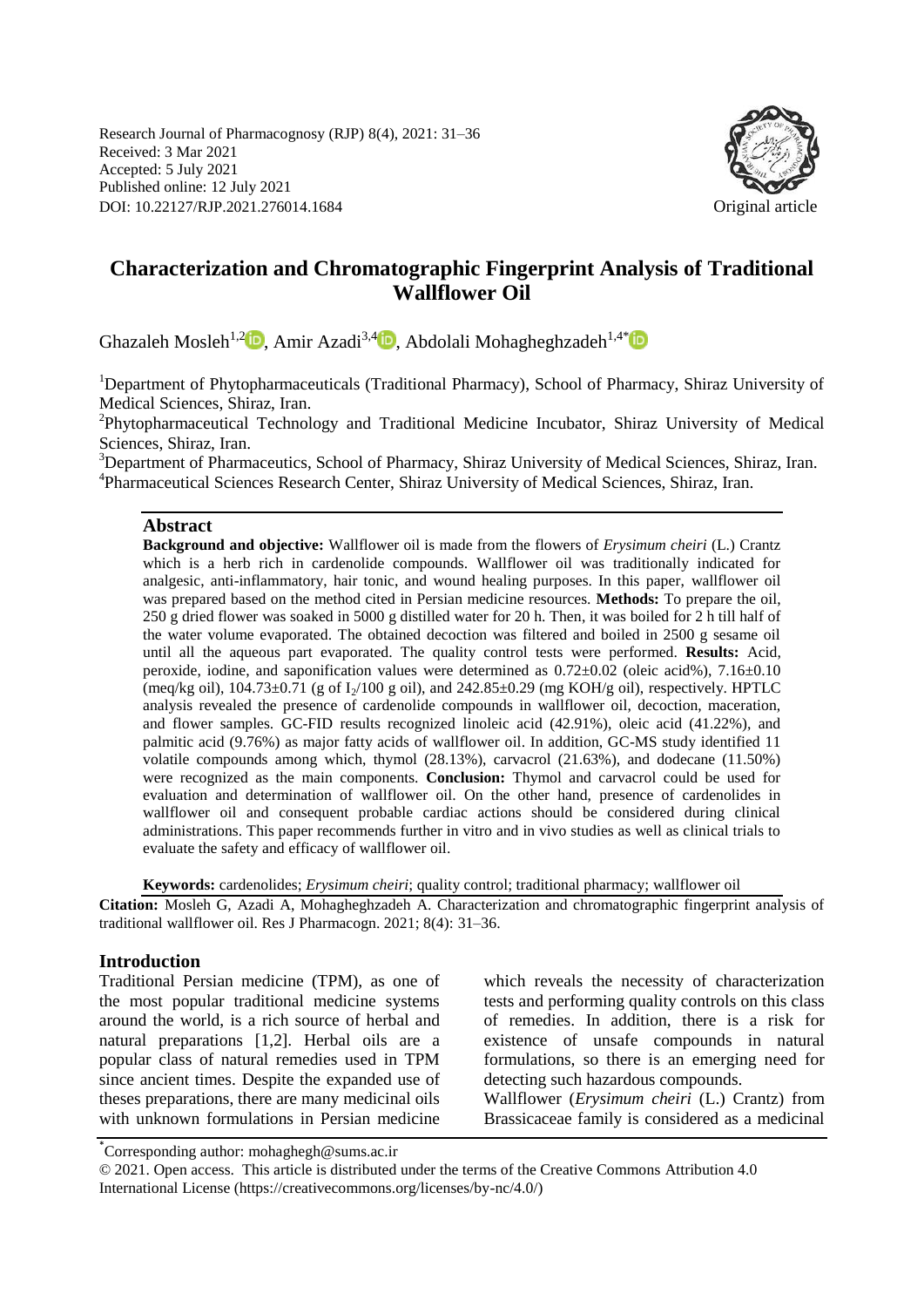Research Journal of Pharmacognosy (RJP) 8(4), 2021: 31–36 Received: 3 Mar 2021 Accepted: 5 July 2021 Published online: 12 July 2021 DOI: 10.22127/RJP.2021.276014.1684 Original article



# **Characterization and Chromatographic Fingerprint Analysis of Traditional Wallflower Oil**

Ghazaleh Mosleh<sup>1,[2](https://orcid.org/0000-0001-5664-4823)</sup> D. Amir Azadi<sup>3,[4](https://orcid.org/0000-0001-7763-7956)</sup> D. Abdolali Mohagheghzadeh<sup>1,4[\\*](https://orcid.org/0000-0002-4873-1449)</sup> D

<sup>1</sup>Department of Phytopharmaceuticals (Traditional Pharmacy), School of Pharmacy, Shiraz University of Medical Sciences, Shiraz, Iran.

<sup>2</sup>Phytopharmaceutical Technology and Traditional Medicine Incubator, Shiraz University of Medical Sciences, Shiraz, Iran.

<sup>3</sup>Department of Pharmaceutics, School of Pharmacy, Shiraz University of Medical Sciences, Shiraz, Iran. 4 Pharmaceutical Sciences Research Center, Shiraz University of Medical Sciences, Shiraz, Iran.

### **Abstract**

**Background and objective:** Wallflower oil is made from the flowers of *Erysimum cheiri* (L.) Crantz which is a herb rich in cardenolide compounds. Wallflower oil was traditionally indicated for analgesic, anti-inflammatory, hair tonic, and wound healing purposes. In this paper, wallflower oil was prepared based on the method cited in Persian medicine resources. **Methods:** To prepare the oil, 250 g dried flower was soaked in 5000 g distilled water for 20 h. Then, it was boiled for 2 h till half of the water volume evaporated. The obtained decoction was filtered and boiled in 2500 g sesame oil until all the aqueous part evaporated. The quality control tests were performed. **Results:** Acid, peroxide, iodine, and saponification values were determined as  $0.72 \pm 0.02$  (oleic acid%),  $7.16 \pm 0.10$ (meq/kg oil),  $104.73\pm0.71$  (g of  $I_2/100$  g oil), and  $242.85\pm0.29$  (mg KOH/g oil), respectively. HPTLC analysis revealed the presence of cardenolide compounds in wallflower oil, decoction, maceration, and flower samples. GC-FID results recognized linoleic acid (42.91%), oleic acid (41.22%), and palmitic acid (9.76%) as major fatty acids of wallflower oil. In addition, GC-MS study identified 11 volatile compounds among which, thymol (28.13%), carvacrol (21.63%), and dodecane (11.50%) were recognized as the main components. **Conclusion:** Thymol and carvacrol could be used for evaluation and determination of wallflower oil. On the other hand, presence of cardenolides in wallflower oil and consequent probable cardiac actions should be considered during clinical administrations. This paper recommends further in vitro and in vivo studies as well as clinical trials to evaluate the safety and efficacy of wallflower oil.

**Keywords:** cardenolides; *Erysimum cheiri*; quality control; traditional pharmacy; wallflower oil

**Citation:** Mosleh G, Azadi A, Mohagheghzadeh A. Characterization and chromatographic fingerprint analysis of traditional wallflower oil. Res J Pharmacogn. 2021; 8(4): 31–36.

#### **Introduction**

Traditional Persian medicine (TPM), as one of the most popular traditional medicine systems around the world, is a rich source of herbal and natural preparations [1,2]. Herbal oils are a popular class of natural remedies used in TPM since ancient times. Despite the expanded use of theses preparations, there are many medicinal oils with unknown formulations in Persian medicine which reveals the necessity of characterization tests and performing quality controls on this class of remedies. In addition, there is a risk for existence of unsafe compounds in natural formulations, so there is an emerging need for detecting such hazardous compounds. Wallflower (*Erysimum cheiri* (L.) Crantz) from

Brassicaceae family is considered as a medicinal

\* Corresponding author: mohaghegh@sums.ac.ir

© 2021. Open access. This article is distributed under the terms of the Creative Commons Attribution 4.0 International License (https://creativecommons.org/licenses/by-nc/4.0/)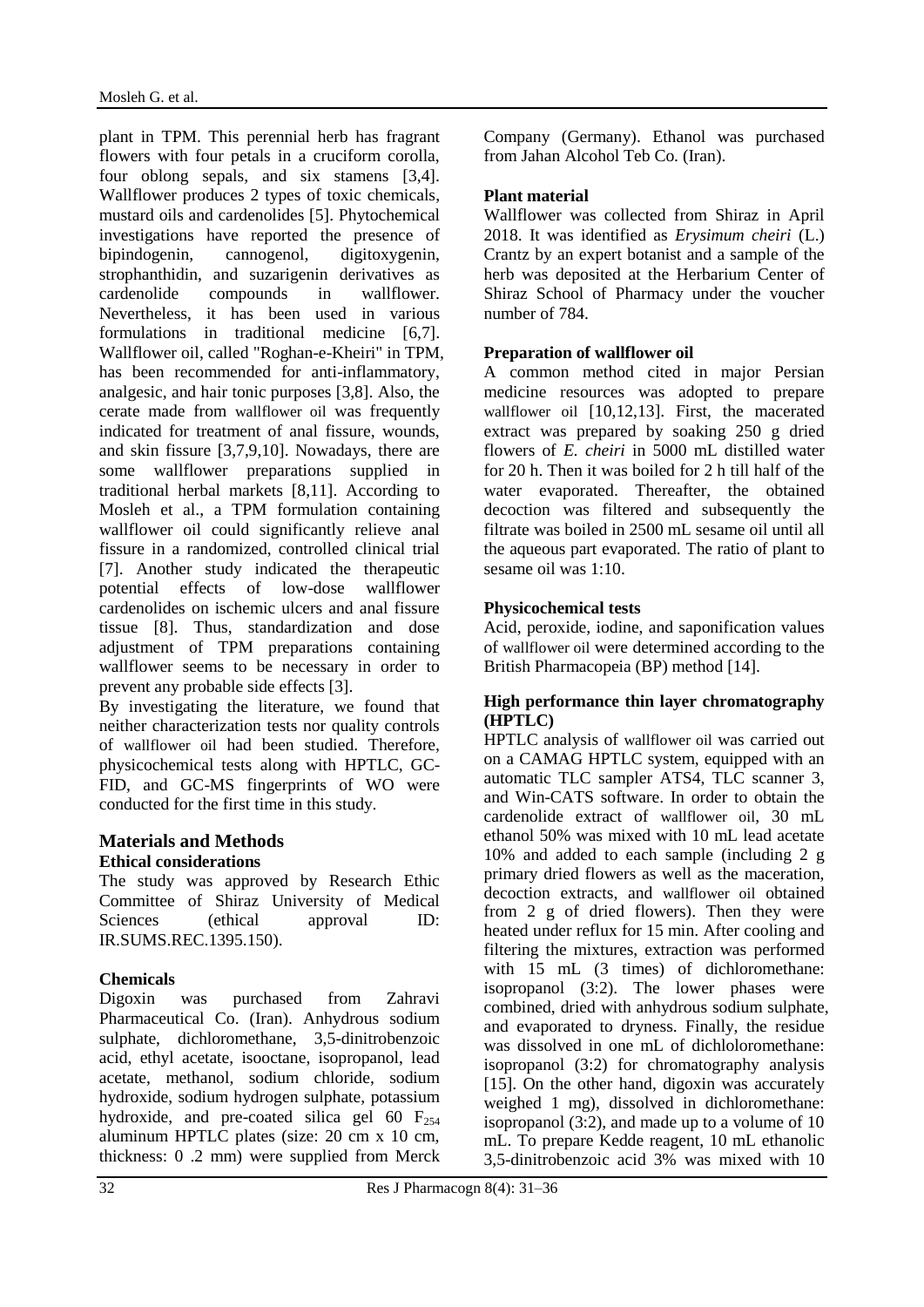plant in TPM. This perennial herb has fragrant flowers with four petals in a cruciform corolla, four oblong sepals, and six stamens [3,4]. Wallflower produces 2 types of toxic chemicals, mustard oils and cardenolides [5]. Phytochemical investigations have reported the presence of bipindogenin, cannogenol, digitoxygenin, strophanthidin, and suzarigenin derivatives as cardenolide compounds in wallflower. Nevertheless, it has been used in various formulations in traditional medicine [6,7]. Wallflower oil, called "Roghan-e-Kheiri" in TPM, has been recommended for anti-inflammatory, analgesic, and hair tonic purposes [3,8]. Also, the cerate made from wallflower oil was frequently indicated for treatment of anal fissure, wounds, and skin fissure [3,7,9,10]. Nowadays, there are some wallflower preparations supplied in traditional herbal markets [8,11]. According to Mosleh et al., a TPM formulation containing wallflower oil could significantly relieve anal fissure in a randomized, controlled clinical trial [7]. Another study indicated the therapeutic potential effects of low-dose wallflower cardenolides on ischemic ulcers and anal fissure tissue [8]. Thus, standardization and dose adjustment of TPM preparations containing wallflower seems to be necessary in order to prevent any probable side effects [3].

By investigating the literature, we found that neither characterization tests nor quality controls of wallflower oil had been studied. Therefore, physicochemical tests along with HPTLC, GC-FID, and GC-MS fingerprints of WO were conducted for the first time in this study.

## **Materials and Methods Ethical considerations**

The study was approved by Research Ethic Committee of Shiraz University of Medical Sciences (ethical approval ID: IR.SUMS.REC.1395.150).

## **Chemicals**

Digoxin was purchased from Zahravi Pharmaceutical Co. (Iran). Anhydrous sodium sulphate, dichloromethane, 3,5-dinitrobenzoic acid, ethyl acetate, isooctane, isopropanol, lead acetate, methanol, sodium chloride, sodium hydroxide, sodium hydrogen sulphate, potassium hydroxide, and pre-coated silica gel 60  $F_{254}$ aluminum HPTLC plates (size: 20 cm x 10 cm, thickness: 0 .2 mm) were supplied from Merck Company (Germany). Ethanol was purchased from Jahan Alcohol Teb Co. (Iran).

## **Plant material**

Wallflower was collected from Shiraz in April 2018. It was identified as *Erysimum cheiri* (L.) Crantz by an expert botanist and a sample of the herb was deposited at the Herbarium Center of Shiraz School of Pharmacy under the voucher number of 784.

## **Preparation of wallflower oil**

A common method cited in major Persian medicine resources was adopted to prepare wallflower oil [10,12,13]. First, the macerated extract was prepared by soaking 250 g dried flowers of *E. cheiri* in 5000 mL distilled water for 20 h. Then it was boiled for 2 h till half of the water evaporated. Thereafter, the obtained decoction was filtered and subsequently the filtrate was boiled in 2500 mL sesame oil until all the aqueous part evaporated. The ratio of plant to sesame oil was 1:10.

## **Physicochemical tests**

Acid, peroxide, iodine, and saponification values of wallflower oil were determined according to the British Pharmacopeia (BP) method [14].

## **High performance thin layer chromatography (HPTLC)**

HPTLC analysis of wallflower oil was carried out on a CAMAG HPTLC system, equipped with an automatic TLC sampler ATS4, TLC scanner 3, and Win-CATS software. In order to obtain the cardenolide extract of wallflower oil, 30 mL ethanol 50% was mixed with 10 mL lead acetate 10% and added to each sample (including 2 g primary dried flowers as well as the maceration, decoction extracts, and wallflower oil obtained from 2 g of dried flowers). Then they were heated under reflux for 15 min. After cooling and filtering the mixtures, extraction was performed with 15 mL (3 times) of dichloromethane: isopropanol (3:2). The lower phases were combined, dried with anhydrous sodium sulphate, and evaporated to dryness. Finally, the residue was dissolved in one mL of dichloloromethane: isopropanol (3:2) for chromatography analysis [15]. On the other hand, digoxin was accurately weighed 1 mg), dissolved in dichloromethane: isopropanol (3:2), and made up to a volume of 10 mL. To prepare Kedde reagent, 10 mL ethanolic 3,5-dinitrobenzoic acid 3% was mixed with 10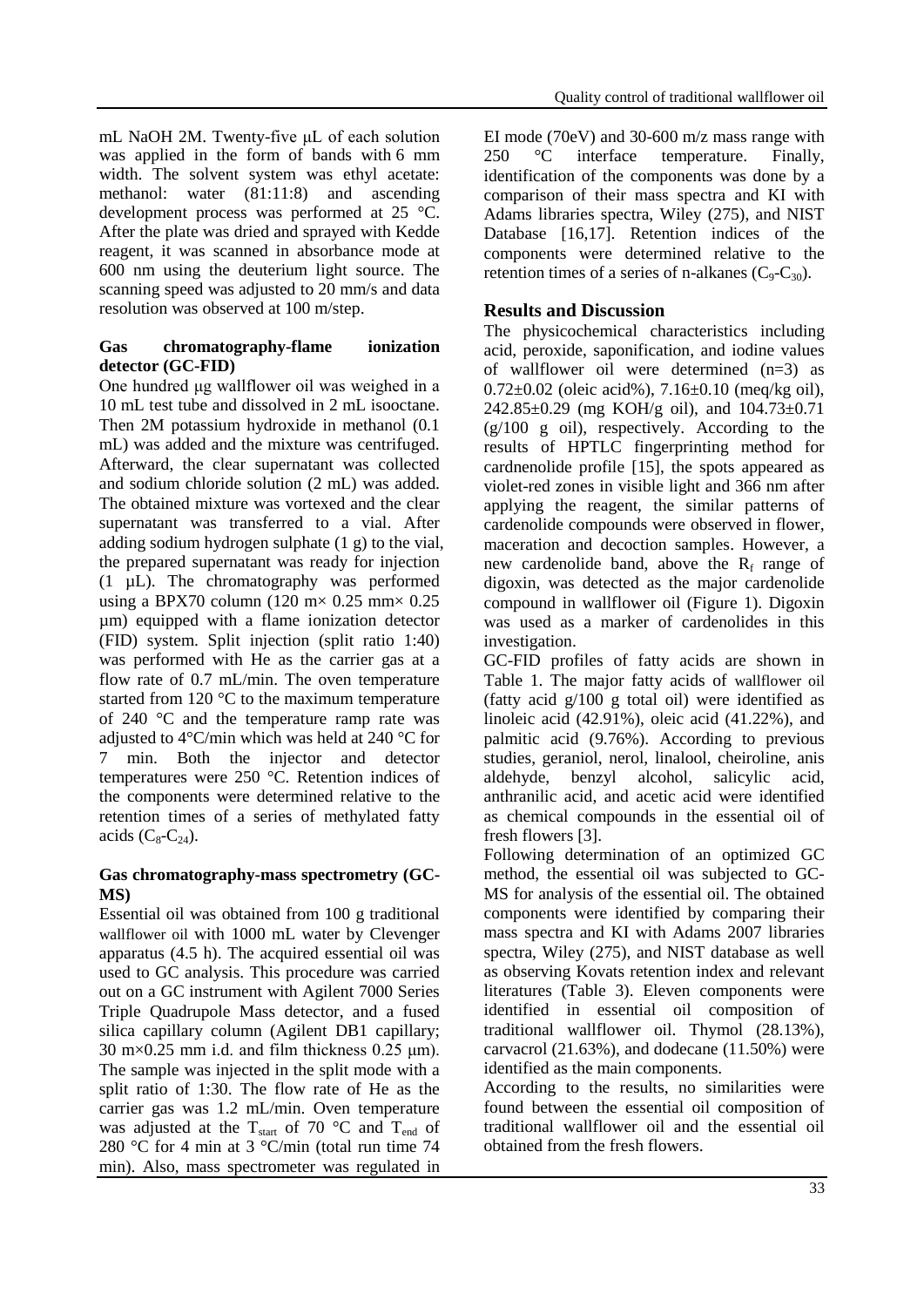mL NaOH 2M. Twenty-five μL of each solution was applied in the form of bands with 6 mm width. The solvent system was ethyl acetate: methanol: water (81:11:8) and ascending development process was performed at 25 °C. After the plate was dried and sprayed with Kedde reagent, it was scanned in absorbance mode at 600 nm using the deuterium light source. The scanning speed was adjusted to 20 mm/s and data resolution was observed at 100 m/step.

#### **Gas chromatography-flame ionization detector (GC-FID)**

One hundred μg wallflower oil was weighed in a 10 mL test tube and dissolved in 2 mL isooctane. Then 2M potassium hydroxide in methanol (0.1 mL) was added and the mixture was centrifuged. Afterward, the clear supernatant was collected and sodium chloride solution (2 mL) was added. The obtained mixture was vortexed and the clear supernatant was transferred to a vial. After adding sodium hydrogen sulphate (1 g) to the vial, the prepared supernatant was ready for injection (1 µL). The chromatography was performed using a BPX70 column (120 m $\times$  0.25 mm $\times$  0.25 µm) equipped with a flame ionization detector (FID) system. Split injection (split ratio 1:40) was performed with He as the carrier gas at a flow rate of 0.7 mL/min. The oven temperature started from 120 °C to the maximum temperature of 240 °C and the temperature ramp rate was adjusted to 4°C/min which was held at 240 °C for 7 min. Both the injector and detector temperatures were 250 °C. Retention indices of the components were determined relative to the retention times of a series of methylated fatty acids  $(C_8-C_{24})$ .

### **Gas chromatography-mass spectrometry (GC-MS)**

Essential oil was obtained from 100 g traditional wallflower oil with 1000 mL water by Clevenger apparatus (4.5 h). The acquired essential oil was used to GC analysis. This procedure was carried out on a GC instrument with Agilent 7000 Series Triple Quadrupole Mass detector, and a fused silica capillary column (Agilent DB1 capillary; 30 m $\times$ 0.25 mm i.d. and film thickness 0.25 µm). The sample was injected in the split mode with a split ratio of 1:30. The flow rate of He as the carrier gas was 1.2 mL/min. Oven temperature was adjusted at the T<sub>start</sub> of 70 °C and T<sub>end</sub> of 280 °C for 4 min at 3 °C/min (total run time 74 min). Also, mass spectrometer was regulated in EI mode (70eV) and 30-600 m/z mass range with 250 °C interface temperature. Finally, identification of the components was done by a comparison of their mass spectra and KI with Adams libraries spectra, Wiley (275), and NIST Database [16,17]. Retention indices of the components were determined relative to the retention times of a series of n-alkanes  $(C_9-C_{30})$ .

## **Results and Discussion**

The physicochemical characteristics including acid, peroxide, saponification, and iodine values of wallflower oil were determined (n=3) as 0.72±0.02 (oleic acid%), 7.16±0.10 (meq/kg oil), 242.85±0.29 (mg KOH/g oil), and 104.73±0.71 (g/100 g oil), respectively. According to the results of HPTLC fingerprinting method for cardnenolide profile [15], the spots appeared as violet-red zones in visible light and 366 nm after applying the reagent, the similar patterns of cardenolide compounds were observed in flower, maceration and decoction samples. However, a new cardenolide band, above the  $R_f$  range of digoxin, was detected as the major cardenolide compound in wallflower oil (Figure 1). Digoxin was used as a marker of cardenolides in this investigation.

GC-FID profiles of fatty acids are shown in Table 1. The major fatty acids of wallflower oil (fatty acid g/100 g total oil) were identified as linoleic acid (42.91%), oleic acid (41.22%), and palmitic acid (9.76%). According to previous studies, geraniol, nerol, linalool, cheiroline, anis aldehyde, benzyl alcohol, salicylic acid, anthranilic acid, and acetic acid were identified as chemical compounds in the essential oil of fresh flowers [3].

Following determination of an optimized GC method, the essential oil was subjected to GC-MS for analysis of the essential oil. The obtained components were identified by comparing their mass spectra and KI with Adams 2007 libraries spectra, Wiley (275), and NIST database as well as observing Kovats retention index and relevant literatures (Table 3). Eleven components were identified in essential oil composition of traditional wallflower oil. Thymol (28.13%), carvacrol (21.63%), and dodecane (11.50%) were identified as the main components.

According to the results, no similarities were found between the essential oil composition of traditional wallflower oil and the essential oil obtained from the fresh flowers.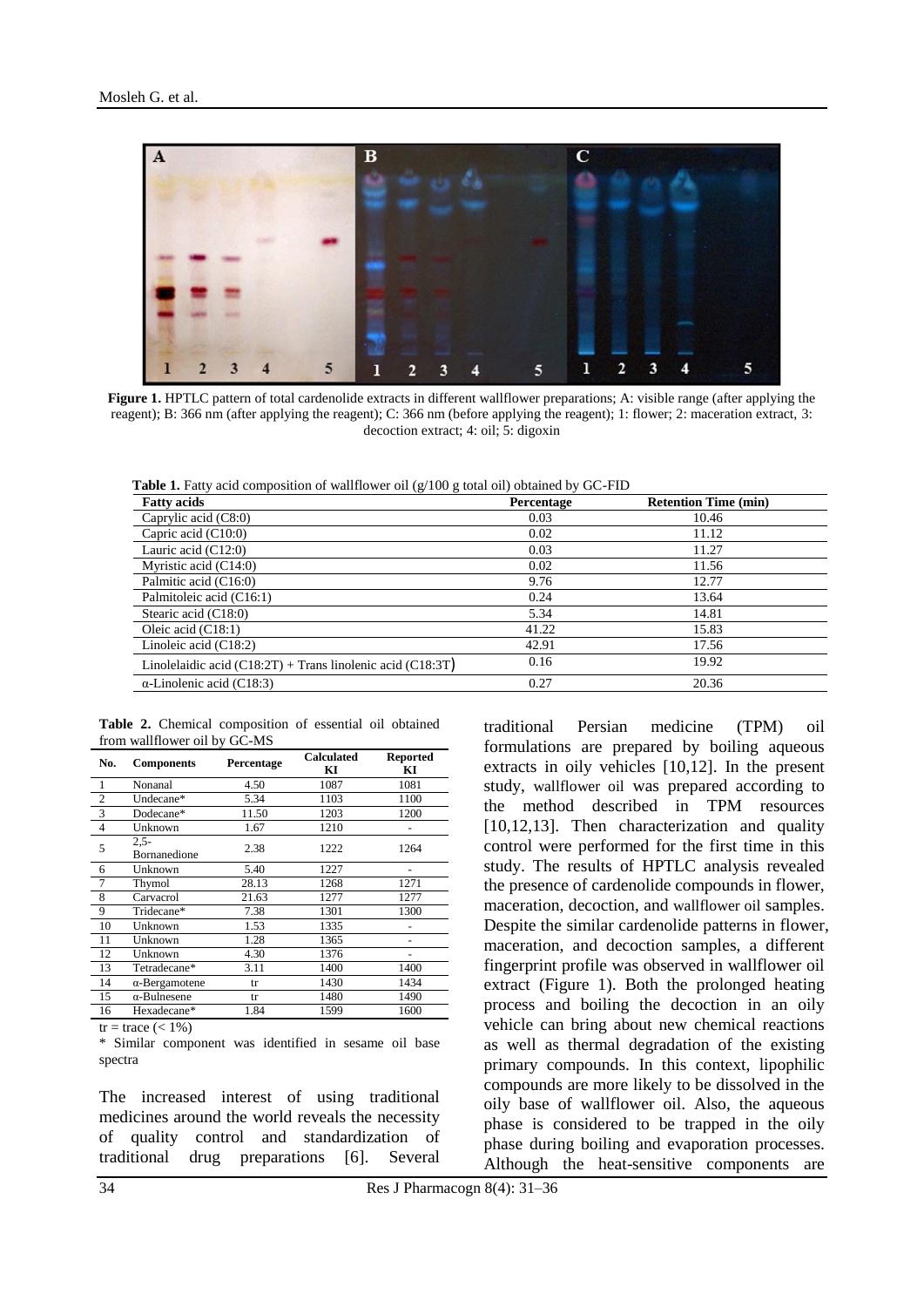

Figure 1. HPTLC pattern of total cardenolide extracts in different wallflower preparations; A: visible range (after applying the reagent); B: 366 nm (after applying the reagent); C: 366 nm (before applying the reagent); 1: flower; 2: maceration extract, 3: decoction extract; 4: oil; 5: digoxin

**Table 1.** Fatty acid composition of wallflower oil  $(g/100 \text{ g total oil})$  obtained by GC-FID

| <b>Fatty acids</b>                                             | Percentage | <b>Retention Time (min)</b> |
|----------------------------------------------------------------|------------|-----------------------------|
| Caprylic acid (C8:0)                                           | 0.03       | 10.46                       |
| Capric acid $(C10:0)$                                          | 0.02       | 11.12                       |
| Lauric acid $(C12:0)$                                          | 0.03       | 11.27                       |
| Myristic acid $(C14:0)$                                        | 0.02       | 11.56                       |
| Palmitic acid (C16:0)                                          | 9.76       | 12.77                       |
| Palmitoleic acid (C16:1)                                       | 0.24       | 13.64                       |
| Stearic acid (C18:0)                                           | 5.34       | 14.81                       |
| Oleic acid $(C18:1)$                                           | 41.22      | 15.83                       |
| Linoleic acid $(C18:2)$                                        | 42.91      | 17.56                       |
| Linolelaidic acid $(C18:2T)$ + Trans linolenic acid $(C18:3T)$ | 0.16       | 19.92                       |
| $\alpha$ -Linolenic acid (C18:3)                               | 0.27       | 20.36                       |

**Table 2.** Chemical composition of essential oil obtained from wallflower oil by GC-MS

| No.            | <b>Components</b>       | Percentage | <b>Calculated</b><br>KI | <b>Reported</b><br>KI |
|----------------|-------------------------|------------|-------------------------|-----------------------|
| 1              | Nonanal                 | 4.50       | 1087                    | 1081                  |
| $\overline{2}$ | Undecane*               | 5.34       | 1103                    | 1100                  |
| 3              | Dodecane*               | 11.50      | 1203                    | 1200                  |
| $\overline{4}$ | Unknown                 | 1.67       | 1210                    |                       |
| 5              | $2.5 -$<br>Bornanedione | 2.38       | 1222                    | 1264                  |
| 6              | Unknown                 | 5.40       | 1227                    |                       |
| 7              | Thymol                  | 28.13      | 1268                    | 1271                  |
| 8              | Carvacrol               | 21.63      | 1277                    | 1277                  |
| 9              | Tridecane*              | 7.38       | 1301                    | 1300                  |
| 10             | Unknown                 | 1.53       | 1335                    |                       |
| 11             | Unknown                 | 1.28       | 1365                    |                       |
| 12             | Unknown                 | 4.30       | 1376                    |                       |
| 13             | Tetradecane*            | 3.11       | 1400                    | 1400                  |
| 14             | $\alpha$ -Bergamotene   | tr         | 1430                    | 1434                  |
| 15             | $\alpha$ -Bulnesene     | tr         | 1480                    | 1490                  |
| 16             | Hexadecane*             | 1.84       | 1599                    | 1600                  |

 $tr = trace \left( < 1\% \right)$ 

\* Similar component was identified in sesame oil base spectra

The increased interest of using traditional medicines around the world reveals the necessity of quality control and standardization of traditional drug preparations [6]. Several

traditional Persian medicine (TPM) oil formulations are prepared by boiling aqueous extracts in oily vehicles [10,12]. In the present study, wallflower oil was prepared according to the method described in TPM resources [10,12,13]. Then characterization and quality control were performed for the first time in this study. The results of HPTLC analysis revealed the presence of cardenolide compounds in flower, maceration, decoction, and wallflower oil samples. Despite the similar cardenolide patterns in flower, maceration, and decoction samples, a different fingerprint profile was observed in wallflower oil extract (Figure 1). Both the prolonged heating process and boiling the decoction in an oily vehicle can bring about new chemical reactions as well as thermal degradation of the existing primary compounds. In this context, lipophilic compounds are more likely to be dissolved in the oily base of wallflower oil. Also, the aqueous phase is considered to be trapped in the oily phase during boiling and evaporation processes. Although the heat-sensitive components are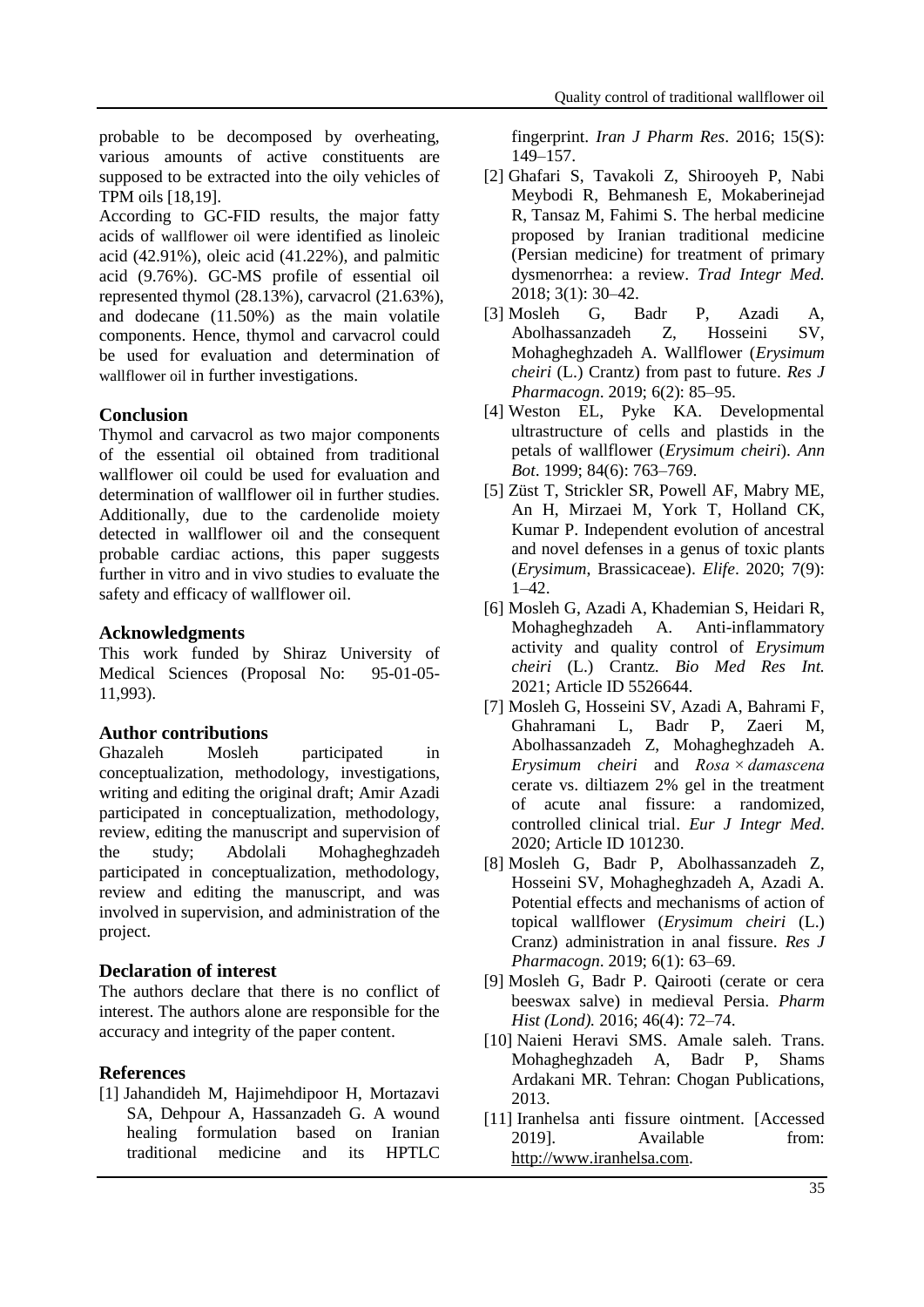probable to be decomposed by overheating, various amounts of active constituents are supposed to be extracted into the oily vehicles of TPM oils [18,19].

According to GC-FID results, the major fatty acids of wallflower oil were identified as linoleic acid  $(42.91\%)$ , oleic acid  $(41.22\%)$ , and palmitic acid (9.76%). GC-MS profile of essential oil represented thymol (28.13%), carvacrol (21.63%), and dodecane (11.50%) as the main volatile components. Hence, thymol and carvacrol could be used for evaluation and determination of wallflower oil in further investigations.

### **Conclusion**

Thymol and carvacrol as two major components of the essential oil obtained from traditional wallflower oil could be used for evaluation and determination of wallflower oil in further studies. Additionally, due to the cardenolide moiety detected in wallflower oil and the consequent probable cardiac actions, this paper suggests further in vitro and in vivo studies to evaluate the safety and efficacy of wallflower oil.

### **Acknowledgments**

This work funded by Shiraz University of Medical Sciences (Proposal No: 95-01-05- 11,993).

## **Author contributions**

Ghazaleh Mosleh participated in conceptualization, methodology, investigations, writing and editing the original draft; Amir Azadi participated in conceptualization, methodology, review, editing the manuscript and supervision of the study; Abdolali Mohagheghzadeh participated in conceptualization, methodology, review and editing the manuscript, and was involved in supervision, and administration of the project.

#### **Declaration of interest**

The authors declare that there is no conflict of interest. The authors alone are responsible for the accuracy and integrity of the paper content.

## **References**

[1] Jahandideh M, Hajimehdipoor H, Mortazavi SA, Dehpour A, Hassanzadeh G. A wound healing formulation based on Iranian traditional medicine and its HPTLC

fingerprint. *Iran J Pharm Res*. 2016; 15(S): 149–157.

- [2] Ghafari S, Tavakoli Z, Shirooyeh P, Nabi Meybodi R, Behmanesh E, Mokaberinejad R, Tansaz M, Fahimi S. The herbal medicine proposed by Iranian traditional medicine (Persian medicine) for treatment of primary dysmenorrhea: a review. *Trad Integr Med.* 2018; 3(1): 30–42.
- [3] Mosleh G, Badr P, Azadi A, Abolhassanzadeh Z, Hosseini SV, Mohagheghzadeh A. Wallflower (*Erysimum cheiri* (L.) Crantz) from past to future. *Res J Pharmacogn*. 2019; 6(2): 85–95.
- [4] Weston EL, Pyke KA. Developmental ultrastructure of cells and plastids in the petals of wallflower (*Erysimum cheiri*). *Ann Bot*. 1999; 84(6): 763–769.
- [5] Züst T, Strickler SR, Powell AF, Mabry ME, An H, Mirzaei M, [York](https://elifesciences.org/articles/51712#xe1d4f724) T, [Holland](https://elifesciences.org/articles/51712#xdee6707d) CK, [Kumar](https://elifesciences.org/articles/51712#x28004ead) P. Independent evolution of ancestral and novel defenses in a genus of toxic plants (*Erysimum*, Brassicaceae). *Elife*. 2020; 7(9): 1–42.
- [6] Mosleh G, Azadi A, Khademian S, Heidari R, Mohagheghzadeh A. Anti-inflammatory activity and quality control of *Erysimum cheiri* (L.) Crantz. *Bio Med Res Int.* 2021; Article ID 5526644.
- [7] Mosleh G, Hosseini SV, Azadi A, Bahrami F, Ghahramani L, Badr P, [Zaeri M,](https://www.sciencedirect.com/science/article/abs/pii/S1876382020314116#!) [Abolhassanzadeh](https://www.sciencedirect.com/science/article/abs/pii/S1876382020314116#!) Z, [Mohagheghzadeh](https://www.sciencedirect.com/science/article/abs/pii/S1876382020314116#!) A. *Erysimum cheiri* and *Rosa × damascena* cerate vs. diltiazem 2% gel in the treatment of acute anal fissure: a randomized, controlled clinical trial. *Eur J Integr Med*. 2020; Article ID 101230.
- [8] Mosleh G, Badr P, Abolhassanzadeh Z, Hosseini SV, Mohagheghzadeh A, Azadi A. Potential effects and mechanisms of action of topical wallflower (*Erysimum cheiri* (L.) Cranz) administration in anal fissure. *Res J Pharmacogn*. 2019; 6(1): 63–69.
- [9] Mosleh G, Badr P. Qairooti (cerate or cera beeswax salve) in medieval Persia. *Pharm Hist (Lond).* 2016; 46(4): 72–74.
- [10] Naieni Heravi SMS. Amale saleh. Trans. Mohagheghzadeh A, Badr P, Shams Ardakani MR. Tehran: Chogan Publications, 2013.
- [11] Iranhelsa anti fissure ointment. [Accessed 2019]. Available from: [http://www.iranhelsa.com.](http://www.iranhelsa.com/)